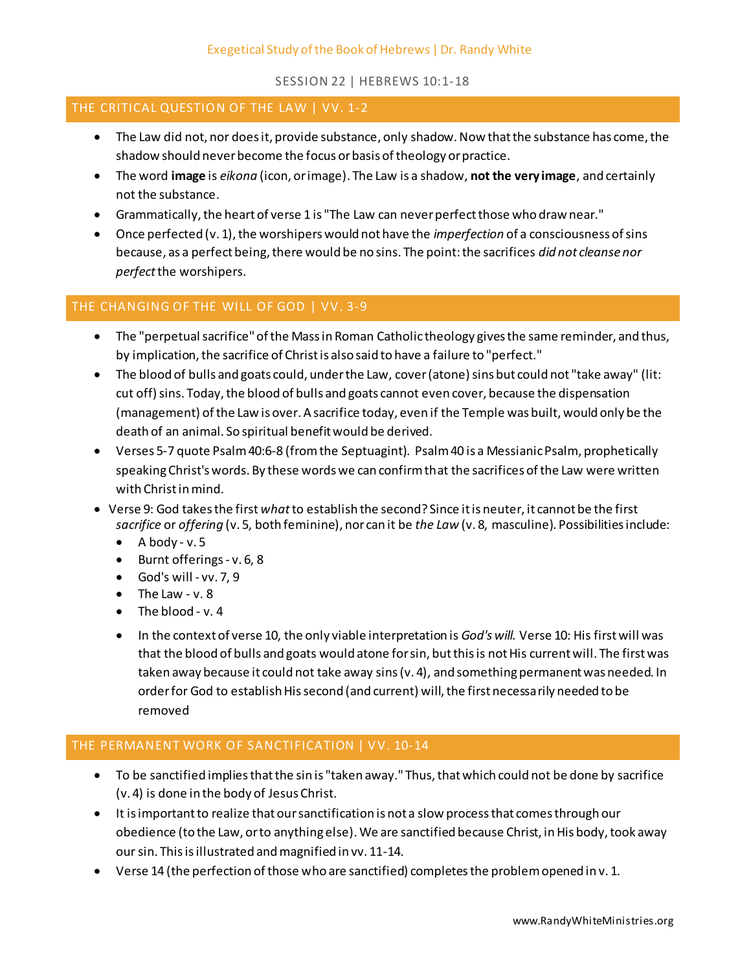## SESSION 22 | HEBREWS 10:1-18

#### THE CRITICAL QUESTION OF THE LAW | VV. 1-2

- The Law did not, nor does it, provide substance, only shadow. Now that the substance has come, the shadow should never become the focus or basis of theology or practice.
- The word **image** is *eikona* (icon, or image). The Law is a shadow, **not the very image**, and certainly not the substance.
- Grammatically, the heart of verse 1 is "The Law can never perfect those who draw near."
- Once perfected (v. 1), the worshipers would not have the *imperfection* of a consciousness of sins because, as a perfect being, there would be no sins. The point: the sacrifices *did not cleanse nor perfect*the worshipers.

# THE CHANGING OF THE WILL OF GOD | VV. 3-9

- The "perpetual sacrifice" of the Mass in Roman Catholic theology gives the same reminder, and thus, by implication, the sacrifice of Christ is also said to have a failure to "perfect."
- The blood of bulls and goats could, under the Law, cover (atone) sins but could not "take away" (lit: cut off) sins. Today, the blood of bulls and goats cannot even cover, because the dispensation (management) of the Law is over. A sacrifice today, even if the Temple was built, would only be the death of an animal. So spiritual benefit would be derived.
- Verses 5-7 quote Psalm 40:6-8 (from the Septuagint). Psalm 40 is a Messianic Psalm, prophetically speaking Christ's words. By these words we can confirm that the sacrifices of the Law were written with Christ in mind.
- Verse 9: God takes the first *what*to establish the second? Since it is neuter, it cannot be the first *sacrifice* or *offering* (v. 5, both feminine), nor can it be *the Law* (v. 8, masculine). Possibilities include:
	- $\bullet$  A body v.5
	- Burnt offerings v. 6, 8
	- $\bullet$  God's will vv. 7, 9
	- $\bullet$  The Law v. 8
	- $\bullet$  The blood v. 4
	- In the context of verse 10, the only viable interpretation is *God's will*. Verse 10: His first will was that the blood of bulls and goats would atone for sin, but this is not His current will. The first was taken away because it could not take away sins (v. 4), and something permanent was needed. In order for God to establish His second (and current) will, the first necessarily needed to be removed

# THE PERMANENT WORK OF SANCTIFICATION | VV. 10-14

- To be sanctified implies that the sin is "taken away." Thus, that which could not be done by sacrifice (v. 4) is done in the body of Jesus Christ.
- It is important to realize that our sanctification is not a slow process that comes through our obedience (to the Law, or to anything else). We are sanctified because Christ, in His body, took away our sin. This is illustrated and magnified in vv. 11-14.
- Verse 14 (the perfection of those who are sanctified) completes the problem opened in v. 1.